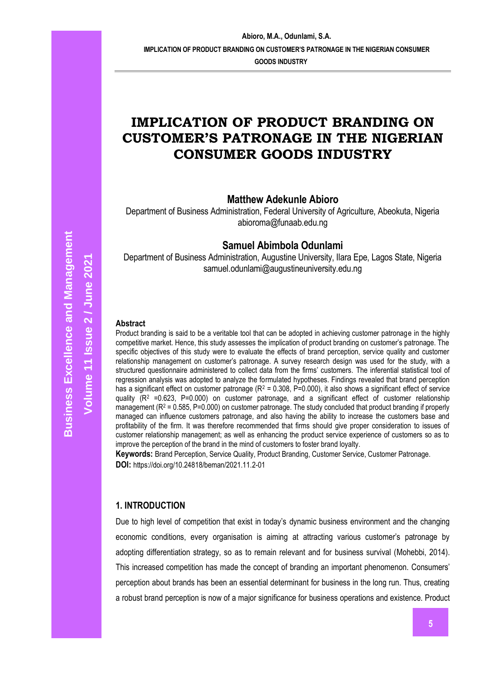**GOODS INDUSTRY** 

# **IMPLICATION OF PRODUCT BRANDING ON CUSTOMER'S PATRONAGE IN THE NIGERIAN CONSUMER GOODS INDUSTRY**

**Matthew Adekunle Abioro**

Department of Business Administration, Federal University of Agriculture, Abeokuta, Nigeria abioroma@funaab.edu.ng

# **Samuel Abimbola Odunlami**

Department of Business Administration, Augustine University, Ilara Epe, Lagos State, Nigeria samuel.odunlami@augustineuniversity.edu.ng

### **Abstract**

Product branding is said to be a veritable tool that can be adopted in achieving customer patronage in the highly competitive market. Hence, this study assesses the implication of product branding on customer's patronage. The specific objectives of this study were to evaluate the effects of brand perception, service quality and customer relationship management on customer's patronage. A survey research design was used for the study, with a structured questionnaire administered to collect data from the firms' customers. The inferential statistical tool of regression analysis was adopted to analyze the formulated hypotheses. Findings revealed that brand perception has a significant effect on customer patronage ( $R^2 = 0.308$ ,  $P=0.000$ ), it also shows a significant effect of service quality (R<sup>2</sup> =0.623, P=0.000) on customer patronage, and a significant effect of customer relationship management (R<sup>2</sup> = 0.585, P=0.000) on customer patronage. The study concluded that product branding if properly managed can influence customers patronage, and also having the ability to increase the customers base and profitability of the firm. It was therefore recommended that firms should give proper consideration to issues of customer relationship management; as well as enhancing the product service experience of customers so as to improve the perception of the brand in the mind of customers to foster brand loyalty.

**Keywords:** Brand Perception, Service Quality, Product Branding, Customer Service, Customer Patronage. **DOI:** https://doi.org/10.24818/beman/2021.11.2-01

### **1. INTRODUCTION**

Due to high level of competition that exist in today's dynamic business environment and the changing economic conditions, every organisation is aiming at attracting various customer's patronage by adopting differentiation strategy, so as to remain relevant and for business survival (Mohebbi, 2014). This increased competition has made the concept of branding an important phenomenon. Consumers' perception about brands has been an essential determinant for business in the long run. Thus, creating a robust brand perception is now of a major significance for business operations and existence. Product

**Volume 11 Issue** 

**2 / June 2021**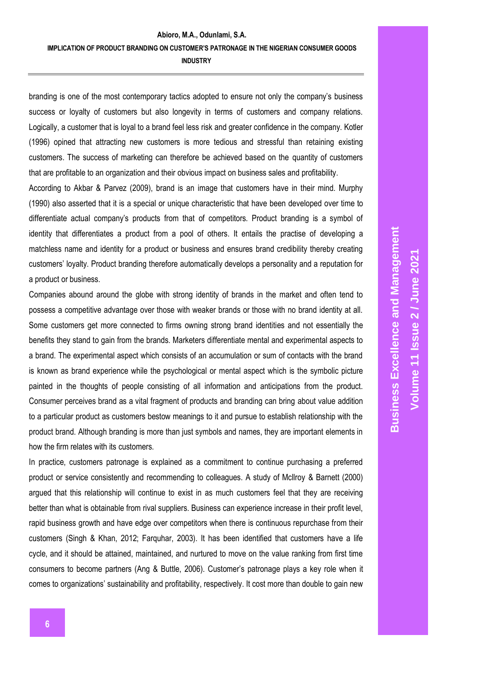branding is one of the most contemporary tactics adopted to ensure not only the company's business success or loyalty of customers but also longevity in terms of customers and company relations. Logically, a customer that is loyal to a brand feel less risk and greater confidence in the company. Kotler (1996) opined that attracting new customers is more tedious and stressful than retaining existing customers. The success of marketing can therefore be achieved based on the quantity of customers that are profitable to an organization and their obvious impact on business sales and profitability.

According to Akbar & Parvez (2009), brand is an image that customers have in their mind. Murphy (1990) also asserted that it is a special or unique characteristic that have been developed over time to differentiate actual company's products from that of competitors. Product branding is a symbol of identity that differentiates a product from a pool of others. It entails the practise of developing a matchless name and identity for a product or business and ensures brand credibility thereby creating customers' loyalty. Product branding therefore automatically develops a personality and a reputation for a product or business.

Companies abound around the globe with strong identity of brands in the market and often tend to possess a competitive advantage over those with weaker brands or those with no brand identity at all. Some customers get more connected to firms owning strong brand identities and not essentially the benefits they stand to gain from the brands. Marketers differentiate mental and experimental aspects to a brand. The experimental aspect which consists of an accumulation or sum of contacts with the brand is known as brand experience while the psychological or mental aspect which is the symbolic picture painted in the thoughts of people consisting of all information and anticipations from the product. Consumer perceives brand as a vital fragment of products and branding can bring about value addition to a particular product as customers bestow meanings to it and pursue to establish relationship with the product brand. Although branding is more than just symbols and names, they are important elements in how the firm relates with its customers.

In practice, customers patronage is explained as a commitment to continue purchasing a preferred product or service consistently and recommending to colleagues. A study of Mcllroy & Barnett (2000) argued that this relationship will continue to exist in as much customers feel that they are receiving better than what is obtainable from rival suppliers. Business can experience increase in their profit level, rapid business growth and have edge over competitors when there is continuous repurchase from their customers (Singh & Khan, 2012; Farquhar, 2003). It has been identified that customers have a life cycle, and it should be attained, maintained, and nurtured to move on the value ranking from first time consumers to become partners (Ang & Buttle, 2006). Customer's patronage plays a key role when it comes to organizations' sustainability and profitability, respectively. It cost more than double to gain new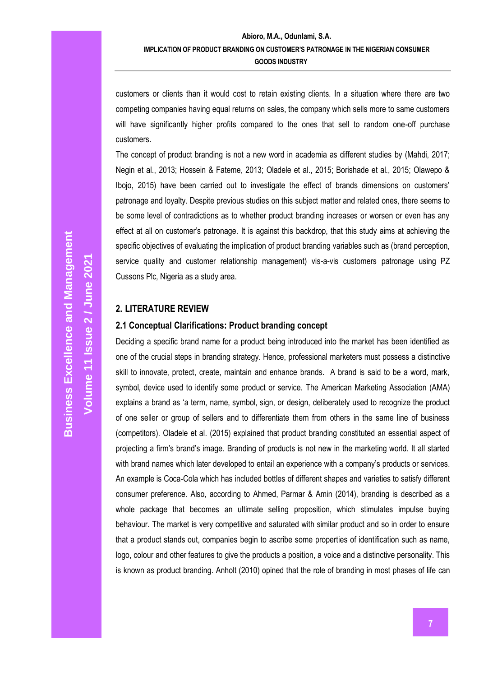customers or clients than it would cost to retain existing clients. In a situation where there are two competing companies having equal returns on sales, the company which sells more to same customers will have significantly higher profits compared to the ones that sell to random one-off purchase customers.

The concept of product branding is not a new word in academia as different studies by (Mahdi, 2017; Negin et al., 2013; Hossein & Fateme, 2013; Oladele et al., 2015; Borishade et al., 2015; Olawepo & Ibojo, 2015) have been carried out to investigate the effect of brands dimensions on customers' patronage and loyalty. Despite previous studies on this subject matter and related ones, there seems to be some level of contradictions as to whether product branding increases or worsen or even has any effect at all on customer's patronage. It is against this backdrop, that this study aims at achieving the specific objectives of evaluating the implication of product branding variables such as (brand perception, service quality and customer relationship management) vis-a-vis customers patronage using PZ Cussons Plc, Nigeria as a study area.

### **2. LITERATURE REVIEW**

#### **2.1 Conceptual Clarifications: Product branding concept**

Deciding a specific brand name for a product being introduced into the market has been identified as one of the crucial steps in branding strategy. Hence, professional marketers must possess a distinctive skill to innovate, protect, create, maintain and enhance brands. A brand is said to be a word, mark, symbol, device used to identify some product or service. The American Marketing Association (AMA) explains a brand as 'a term, name, symbol, sign, or design, deliberately used to recognize the product of one seller or group of sellers and to differentiate them from others in the same line of business (competitors). Oladele et al. (2015) explained that product branding constituted an essential aspect of projecting a firm's brand's image. Branding of products is not new in the marketing world. It all started with brand names which later developed to entail an experience with a company's products or services. An example is Coca-Cola which has included bottles of different shapes and varieties to satisfy different consumer preference. Also, according to Ahmed, Parmar & Amin (2014), branding is described as a whole package that becomes an ultimate selling proposition, which stimulates impulse buying behaviour. The market is very competitive and saturated with similar product and so in order to ensure that a product stands out, companies begin to ascribe some properties of identification such as name, logo, colour and other features to give the products a position, a voice and a distinctive personality. This is known as product branding. Anholt (2010) opined that the role of branding in most phases of life can

**Volume 11 Issue** 

**2 / June 2021**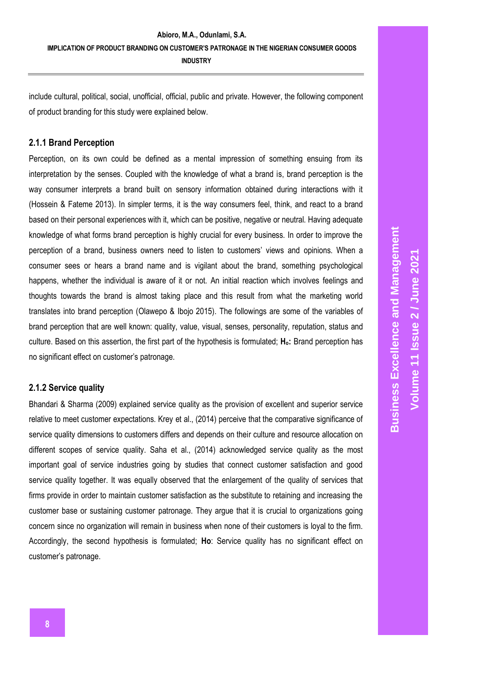include cultural, political, social, unofficial, official, public and private. However, the following component of product branding for this study were explained below.

#### **2.1.1 Brand Perception**

Perception, on its own could be defined as a mental impression of something ensuing from its interpretation by the senses. Coupled with the knowledge of what a brand is, brand perception is the way consumer interprets a brand built on sensory information obtained during interactions with it (Hossein & Fateme 2013). In simpler terms, it is the way consumers feel, think, and react to a brand based on their personal experiences with it, which can be positive, negative or neutral. Having adequate knowledge of what forms brand perception is highly crucial for every business. In order to improve the perception of a brand, business owners need to listen to customers' views and opinions. When a consumer sees or hears a brand name and is vigilant about the brand, something psychological happens, whether the individual is aware of it or not. An initial reaction which involves feelings and thoughts towards the brand is almost taking place and this result from what the marketing world translates into brand perception (Olawepo & Ibojo 2015). The followings are some of the variables of brand perception that are well known: quality, value, visual, senses, personality, reputation, status and culture. Based on this assertion, the first part of the hypothesis is formulated; **Ho:** Brand perception has no significant effect on customer's patronage.

#### **2.1.2 Service quality**

Bhandari & Sharma (2009) explained service quality as the provision of excellent and superior service relative to meet customer expectations. Krey et al., (2014) perceive that the comparative significance of service quality dimensions to customers differs and depends on their culture and resource allocation on different scopes of service quality. Saha et al., (2014) acknowledged service quality as the most important goal of service industries going by studies that connect customer satisfaction and good service quality together. It was equally observed that the enlargement of the quality of services that firms provide in order to maintain customer satisfaction as the substitute to retaining and increasing the customer base or sustaining customer patronage. They argue that it is crucial to organizations going concern since no organization will remain in business when none of their customers is loyal to the firm. Accordingly, the second hypothesis is formulated; **Ho**: Service quality has no significant effect on customer's patronage.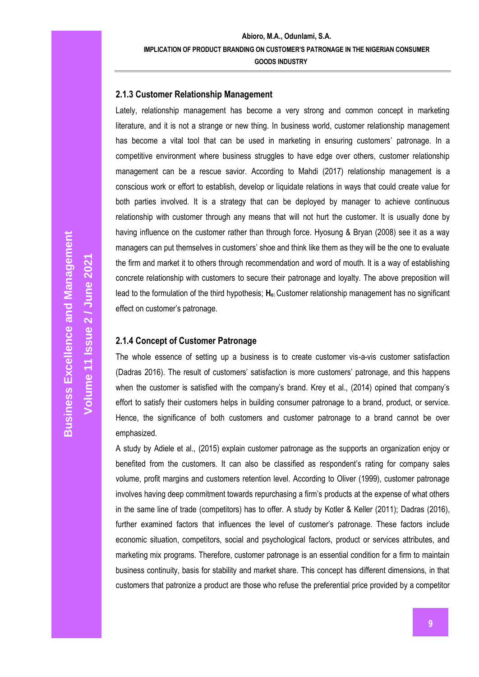### **2.1.3 Customer Relationship Management**

Lately, relationship management has become a very strong and common concept in marketing literature, and it is not a strange or new thing. In business world, customer relationship management has become a vital tool that can be used in marketing in ensuring customers' patronage. In a competitive environment where business struggles to have edge over others, customer relationship management can be a rescue savior. According to Mahdi (2017) relationship management is a conscious work or effort to establish, develop or liquidate relations in ways that could create value for both parties involved. It is a strategy that can be deployed by manager to achieve continuous relationship with customer through any means that will not hurt the customer. It is usually done by having influence on the customer rather than through force. Hyosung & Bryan (2008) see it as a way managers can put themselves in customers' shoe and think like them as they will be the one to evaluate the firm and market it to others through recommendation and word of mouth. It is a way of establishing concrete relationship with customers to secure their patronage and loyalty. The above preposition will lead to the formulation of the third hypothesis; **Ho:** Customer relationship management has no significant effect on customer's patronage.

### **2.1.4 Concept of Customer Patronage**

The whole essence of setting up a business is to create customer vis-a-vis customer satisfaction (Dadras 2016). The result of customers' satisfaction is more customers' patronage, and this happens when the customer is satisfied with the company's brand. Krey et al., (2014) opined that company's effort to satisfy their customers helps in building consumer patronage to a brand, product, or service. Hence, the significance of both customers and customer patronage to a brand cannot be over emphasized.

A study by Adiele et al., (2015) explain customer patronage as the supports an organization enjoy or benefited from the customers. It can also be classified as respondent's rating for company sales volume, profit margins and customers retention level. According to Oliver (1999), customer patronage involves having deep commitment towards repurchasing a firm's products at the expense of what others in the same line of trade (competitors) has to offer. A study by Kotler & Keller (2011); Dadras (2016), further examined factors that influences the level of customer's patronage. These factors include economic situation, competitors, social and psychological factors, product or services attributes, and marketing mix programs. Therefore, customer patronage is an essential condition for a firm to maintain business continuity, basis for stability and market share. This concept has different dimensions, in that customers that patronize a product are those who refuse the preferential price provided by a competitor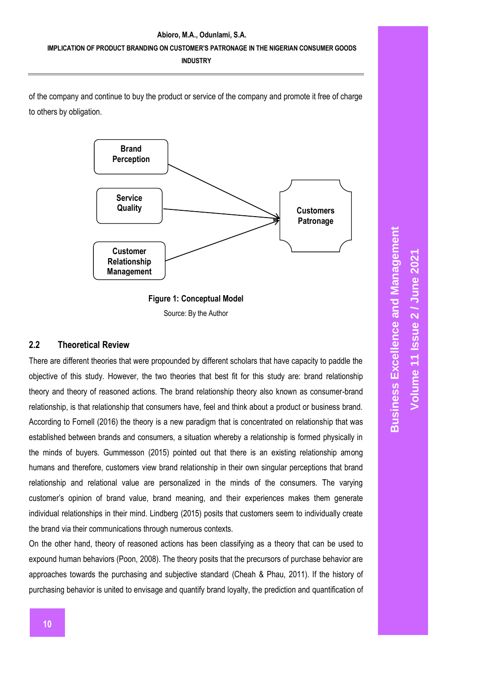of the company and continue to buy the product or service of the company and promote it free of charge to others by obligation.



**Figure 1: Conceptual Model** Source: By the Author

#### **2.2 Theoretical Review**

There are different theories that were propounded by different scholars that have capacity to paddle the objective of this study. However, the two theories that best fit for this study are: brand relationship theory and theory of reasoned actions. The brand relationship theory also known as consumer-brand relationship, is that relationship that consumers have, feel and think about a product or business brand. According to Fornell (2016) the theory is a new paradigm that is concentrated on relationship that was established between brands and consumers, a situation whereby a relationship is formed physically in the minds of buyers. Gummesson (2015) pointed out that there is an existing relationship among humans and therefore, customers view brand relationship in their own singular perceptions that brand relationship and relational value are personalized in the minds of the consumers. The varying customer's opinion of brand value, brand meaning, and their experiences makes them generate individual relationships in their mind. Lindberg (2015) posits that customers seem to individually create the brand via their communications through numerous contexts.

On the other hand, theory of reasoned actions has been classifying as a theory that can be used to expound human behaviors (Poon, 2008). The theory posits that the precursors of purchase behavior are approaches towards the purchasing and subjective standard (Cheah & Phau, 2011). If the history of purchasing behavior is united to envisage and quantify brand loyalty, the prediction and quantification of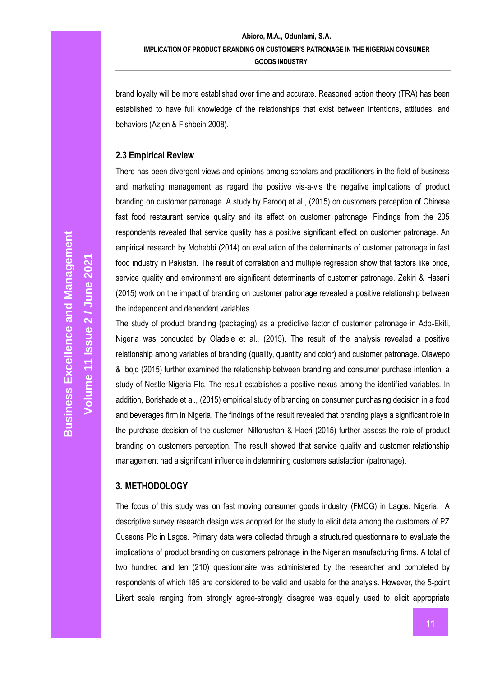brand loyalty will be more established over time and accurate. Reasoned action theory (TRA) has been established to have full knowledge of the relationships that exist between intentions, attitudes, and behaviors (Azjen & Fishbein 2008).

#### **2.3 Empirical Review**

There has been divergent views and opinions among scholars and practitioners in the field of business and marketing management as regard the positive vis-a-vis the negative implications of product branding on customer patronage. A study by Farooq et al., (2015) on customers perception of Chinese fast food restaurant service quality and its effect on customer patronage. Findings from the 205 respondents revealed that service quality has a positive significant effect on customer patronage. An empirical research by Mohebbi (2014) on evaluation of the determinants of customer patronage in fast food industry in Pakistan. The result of correlation and multiple regression show that factors like price, service quality and environment are significant determinants of customer patronage. Zekiri & Hasani (2015) work on the impact of branding on customer patronage revealed a positive relationship between the independent and dependent variables.

The study of product branding (packaging) as a predictive factor of customer patronage in Ado-Ekiti, Nigeria was conducted by Oladele et al., (2015). The result of the analysis revealed a positive relationship among variables of branding (quality, quantity and color) and customer patronage. Olawepo & Ibojo (2015) further examined the relationship between branding and consumer purchase intention; a study of Nestle Nigeria Plc. The result establishes a positive nexus among the identified variables. In addition, Borishade et al., (2015) empirical study of branding on consumer purchasing decision in a food and beverages firm in Nigeria. The findings of the result revealed that branding plays a significant role in the purchase decision of the customer. Nilforushan & Haeri (2015) further assess the role of product branding on customers perception. The result showed that service quality and customer relationship management had a significant influence in determining customers satisfaction (patronage).

### **3. METHODOLOGY**

The focus of this study was on fast moving consumer goods industry (FMCG) in Lagos, Nigeria. A descriptive survey research design was adopted for the study to elicit data among the customers of PZ Cussons Plc in Lagos. Primary data were collected through a structured questionnaire to evaluate the implications of product branding on customers patronage in the Nigerian manufacturing firms. A total of two hundred and ten (210) questionnaire was administered by the researcher and completed by respondents of which 185 are considered to be valid and usable for the analysis. However, the 5-point Likert scale ranging from strongly agree-strongly disagree was equally used to elicit appropriate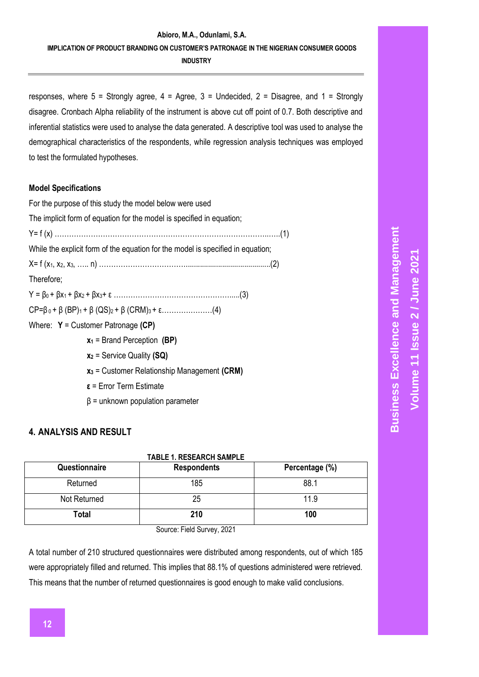### **Abioro, M.A., Odunlami, S.A. IMPLICATION OF PRODUCT BRANDING ON CUSTOMER'S PATRONAGE IN THE NIGERIAN CONSUMER GOODS INDUSTRY**

responses, where  $5 =$  Strongly agree,  $4 =$  Agree,  $3 =$  Undecided,  $2 =$  Disagree, and  $1 =$  Strongly disagree. Cronbach Alpha reliability of the instrument is above cut off point of 0.7. Both descriptive and inferential statistics were used to analyse the data generated. A descriptive tool was used to analyse the demographical characteristics of the respondents, while regression analysis techniques was employed to test the formulated hypotheses.

### **Model Specifications**

| For the purpose of this study the model below were used                         |
|---------------------------------------------------------------------------------|
| The implicit form of equation for the model is specified in equation;           |
|                                                                                 |
| While the explicit form of the equation for the model is specified in equation; |
|                                                                                 |
| Therefore;                                                                      |
|                                                                                 |
|                                                                                 |
| Where: $Y =$ Customer Patronage (CP)                                            |
| $x_1$ = Brand Perception (BP)                                                   |
| $x_2$ = Service Quality (SQ)                                                    |
| $x_3$ = Customer Relationship Management (CRM)                                  |
| $\epsilon$ = Error Term Estimate                                                |

 $β =$  unknown population parameter

# **4. ANALYSIS AND RESULT**

| <b>TABLE 1. RESEARCH SAMPLE</b> |  |  |  |  |  |
|---------------------------------|--|--|--|--|--|
| Percentage (%)                  |  |  |  |  |  |
| 88.1                            |  |  |  |  |  |
| 11.9                            |  |  |  |  |  |
| 100                             |  |  |  |  |  |
|                                 |  |  |  |  |  |

Source: Field Survey, 2021

A total number of 210 structured questionnaires were distributed among respondents, out of which 185 were appropriately filled and returned. This implies that 88.1% of questions administered were retrieved. This means that the number of returned questionnaires is good enough to make valid conclusions.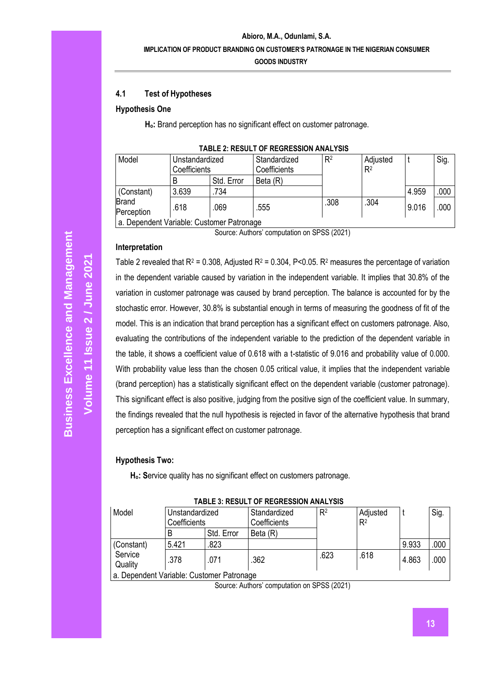### **4.1 Test of Hypotheses**

#### **Hypothesis One**

**Ho:** Brand perception has no significant effect on customer patronage.

| Model                                    | Unstandardized<br>Coefficients |            | Standardized<br>Coefficients | $R^2$ | Adjusted<br>R <sup>2</sup> |       | Sig. |
|------------------------------------------|--------------------------------|------------|------------------------------|-------|----------------------------|-------|------|
|                                          |                                | Std. Error | Beta (R)                     |       |                            |       |      |
| (Constant)                               | 3.639                          | .734       |                              |       |                            | 4.959 | .000 |
| <b>Brand</b><br>Perception               | .618                           | 069        | .555                         | .308  | .304                       | 9.016 | .000 |
| a Dependent Variable: Customer Patronage |                                |            |                              |       |                            |       |      |

### **TABLE 2: RESULT OF REGRESSION ANALYSIS**

a. Dependent Variable: Customer Patronage

Source: Authors' computation on SPSS (2021)

#### **Interpretation**

Table 2 revealed that  $R^2 = 0.308$ , Adjusted  $R^2 = 0.304$ , P<0.05.  $R^2$  measures the percentage of variation in the dependent variable caused by variation in the independent variable. It implies that 30.8% of the variation in customer patronage was caused by brand perception. The balance is accounted for by the stochastic error. However, 30.8% is substantial enough in terms of measuring the goodness of fit of the model. This is an indication that brand perception has a significant effect on customers patronage. Also, evaluating the contributions of the independent variable to the prediction of the dependent variable in the table, it shows a coefficient value of 0.618 with a t-statistic of 9.016 and probability value of 0.000. With probability value less than the chosen 0.05 critical value, it implies that the independent variable (brand perception) has a statistically significant effect on the dependent variable (customer patronage). This significant effect is also positive, judging from the positive sign of the coefficient value. In summary, the findings revealed that the null hypothesis is rejected in favor of the alternative hypothesis that brand perception has a significant effect on customer patronage.

#### **Hypothesis Two:**

**Ho: S**ervice quality has no significant effect on customers patronage.

| Model                                     | Unstandardized<br>Coefficients |            | Standardized | R <sup>2</sup> | Adjusted       |       | Sig. |
|-------------------------------------------|--------------------------------|------------|--------------|----------------|----------------|-------|------|
|                                           |                                |            | Coefficients |                | R <sup>2</sup> |       |      |
|                                           |                                | Std. Error | Beta (R)     |                |                |       |      |
| (Constant)                                | 5.421                          | .823       |              |                |                | 9.933 | .000 |
| Service<br>Quality                        | .378                           | .071       | .362         | .623           | .618           | 4.863 | .000 |
| a. Dependent Variable: Customer Patronage |                                |            |              |                |                |       |      |

#### **TABLE 3: RESULT OF REGRESSION ANALYSIS**

Source: Authors' computation on SPSS (2021)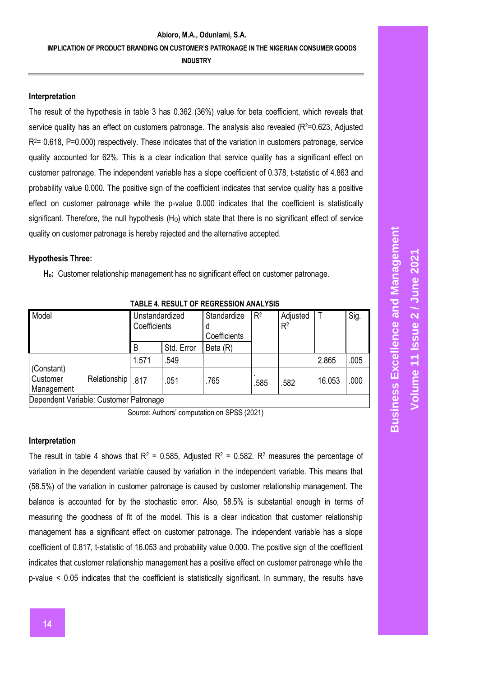#### **Interpretation**

The result of the hypothesis in table 3 has 0.362 (36%) value for beta coefficient, which reveals that service quality has an effect on customers patronage. The analysis also revealed (R<sup>2</sup>=0.623, Adjusted  $R<sup>2</sup>= 0.618$ , P=0.000) respectively. These indicates that of the variation in customers patronage, service quality accounted for 62%. This is a clear indication that service quality has a significant effect on customer patronage. The independent variable has a slope coefficient of 0.378, t-statistic of 4.863 and probability value 0.000. The positive sign of the coefficient indicates that service quality has a positive effect on customer patronage while the p-value 0.000 indicates that the coefficient is statistically significant. Therefore, the null hypothesis  $(H<sub>o</sub>)$  which state that there is no significant effect of service quality on customer patronage is hereby rejected and the alternative accepted.

#### **Hypothesis Three:**

**Ho:** Customer relationship management has no significant effect on customer patronage.

| IADLL 7. INLUULI UI INLUINLUUIUIN AINALTUIU |                  |                                |            |                             |                |                            |        |      |  |
|---------------------------------------------|------------------|--------------------------------|------------|-----------------------------|----------------|----------------------------|--------|------|--|
| Model                                       |                  | Unstandardized<br>Coefficients |            | Standardize<br>Coefficients | R <sup>2</sup> | Adjusted<br>R <sup>2</sup> |        | Sig. |  |
|                                             |                  | B                              | Std. Error | Beta (R)                    |                |                            |        |      |  |
|                                             |                  | 1.571                          | 549        |                             |                |                            | 2.865  | .005 |  |
| (Constant)<br>Customer<br>Management        | Relationship 817 |                                | .051       | .765                        | .585           | .582                       | 16.053 | .000 |  |
| Dependent Variable: Customer Patronage      |                  |                                |            |                             |                |                            |        |      |  |

**TABLE 4. RESULT OF REGRESSION ANALYSIS**

Source: Authors' computation on SPSS (2021)

#### **Interpretation**

The result in table 4 shows that  $R^2 = 0.585$ , Adjusted  $R^2 = 0.582$ .  $R^2$  measures the percentage of variation in the dependent variable caused by variation in the independent variable. This means that (58.5%) of the variation in customer patronage is caused by customer relationship management. The balance is accounted for by the stochastic error. Also, 58.5% is substantial enough in terms of measuring the goodness of fit of the model. This is a clear indication that customer relationship management has a significant effect on customer patronage. The independent variable has a slope coefficient of 0.817, t-statistic of 16.053 and probability value 0.000. The positive sign of the coefficient indicates that customer relationship management has a positive effect on customer patronage while the p-value < 0.05 indicates that the coefficient is statistically significant. In summary, the results have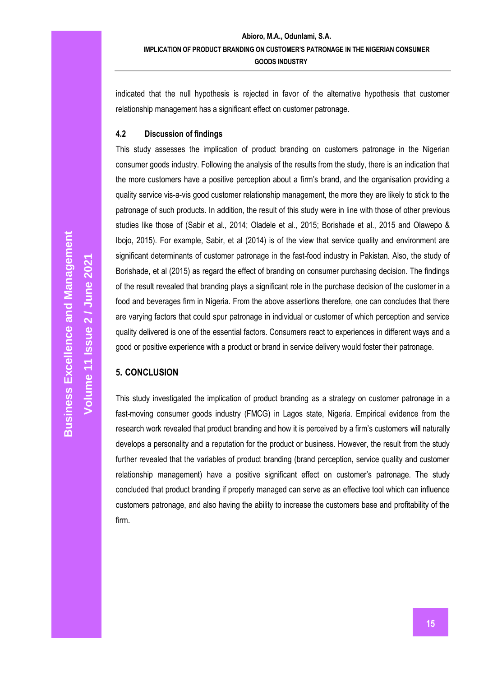indicated that the null hypothesis is rejected in favor of the alternative hypothesis that customer relationship management has a significant effect on customer patronage.

#### **4.2 Discussion of findings**

This study assesses the implication of product branding on customers patronage in the Nigerian consumer goods industry. Following the analysis of the results from the study, there is an indication that the more customers have a positive perception about a firm's brand, and the organisation providing a quality service vis-a-vis good customer relationship management, the more they are likely to stick to the patronage of such products. In addition, the result of this study were in line with those of other previous studies like those of (Sabir et al., 2014; Oladele et al., 2015; Borishade et al., 2015 and Olawepo & Ibojo, 2015). For example, Sabir, et al (2014) is of the view that service quality and environment are significant determinants of customer patronage in the fast-food industry in Pakistan. Also, the study of Borishade, et al (2015) as regard the effect of branding on consumer purchasing decision. The findings of the result revealed that branding plays a significant role in the purchase decision of the customer in a food and beverages firm in Nigeria. From the above assertions therefore, one can concludes that there are varying factors that could spur patronage in individual or customer of which perception and service quality delivered is one of the essential factors. Consumers react to experiences in different ways and a good or positive experience with a product or brand in service delivery would foster their patronage.

### **5. CONCLUSION**

This study investigated the implication of product branding as a strategy on customer patronage in a fast-moving consumer goods industry (FMCG) in Lagos state, Nigeria. Empirical evidence from the research work revealed that product branding and how it is perceived by a firm's customers will naturally develops a personality and a reputation for the product or business. However, the result from the study further revealed that the variables of product branding (brand perception, service quality and customer relationship management) have a positive significant effect on customer's patronage. The study concluded that product branding if properly managed can serve as an effective tool which can influence customers patronage, and also having the ability to increase the customers base and profitability of the firm.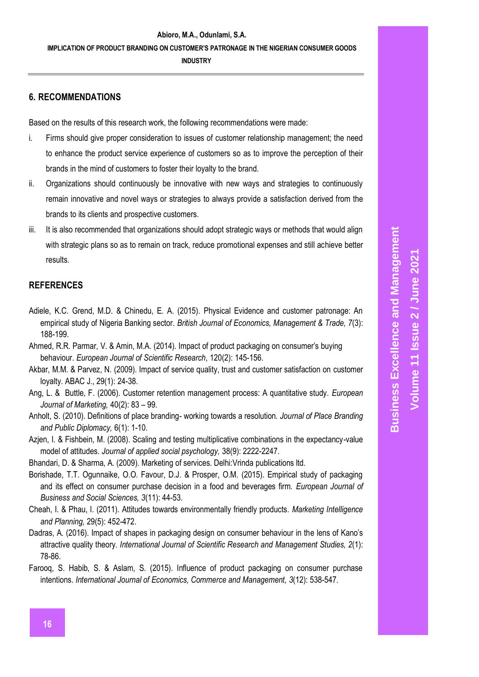### **6. RECOMMENDATIONS**

Based on the results of this research work, the following recommendations were made:

- i. Firms should give proper consideration to issues of customer relationship management; the need to enhance the product service experience of customers so as to improve the perception of their brands in the mind of customers to foster their loyalty to the brand.
- ii. Organizations should continuously be innovative with new ways and strategies to continuously remain innovative and novel ways or strategies to always provide a satisfaction derived from the brands to its clients and prospective customers.
- iii. It is also recommended that organizations should adopt strategic ways or methods that would align with strategic plans so as to remain on track, reduce promotional expenses and still achieve better results.

## **REFERENCES**

- Adiele, K.C. Grend, M.D. & Chinedu, E. A. (2015). Physical Evidence and customer patronage: An empirical study of Nigeria Banking sector. *British Journal of Economics, Management & Trade, 7*(3): 188-199.
- Ahmed, R.R. Parmar, V. & Amin, M.A. (2014). Impact of product packaging on consumer's buying behaviour. *European Journal of Scientific Research*, 120(2): 145-156.
- Akbar, M.M. & Parvez, N. (2009). Impact of service quality, trust and customer satisfaction on customer loyalty. ABAC J., 29(1): 24-38.
- Ang, L. & Buttle, F. (2006). Customer retention management process: A quantitative study. *European Journal of Marketing,* 40(2): 83 – 99.
- Anholt, S. (2010). Definitions of place branding- working towards a resolution. *Journal of Place Branding and Public Diplomacy,* 6(1): 1-10.
- Azjen, I. & Fishbein, M. (2008). Scaling and testing multiplicative combinations in the expectancy-value model of attitudes. *Journal of applied social psychology,* 38(9): 2222-2247.
- Bhandari, D. & Sharma, A. (2009). Marketing of services. Delhi:Vrinda publications ltd.
- Borishade, T.T. Ogunnaike, O.O. Favour, D.J. & Prosper, O.M. (2015). Empirical study of packaging and its effect on consumer purchase decision in a food and beverages firm. *European Journal of Business and Social Sciences, 3*(11): 44-53.
- Cheah, I. & Phau, I. (2011). Attitudes towards environmentally friendly products. *Marketing Intelligence and Planning,* 29(5): 452-472.
- Dadras, A. (2016). Impact of shapes in packaging design on consumer behaviour in the lens of Kano's attractive quality theory. *International Journal of Scientific Research and Management Studies, 2*(1): 78-86.
- Farooq, S. Habib, S. & Aslam, S. (2015). Influence of product packaging on consumer purchase intentions. *International Journal of Economics, Commerce and Management, 3*(12): 538-547.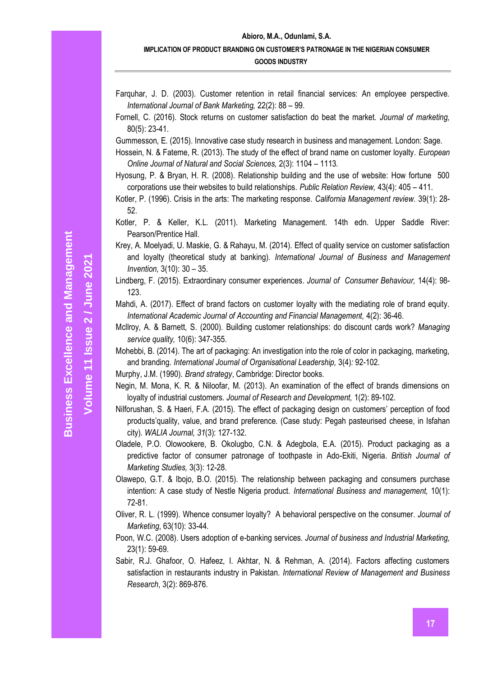**Volume 11 Issue** 

**2 / June 2021**

### **Abioro, M.A., Odunlami, S.A. IMPLICATION OF PRODUCT BRANDING ON CUSTOMER'S PATRONAGE IN THE NIGERIAN CONSUMER GOODS INDUSTRY**

- Farquhar, J. D. (2003). Customer retention in retail financial services: An employee perspective. *International Journal of Bank Marketing,* 22(2): 88 – 99.
- Fornell, C. (2016). Stock returns on customer satisfaction do beat the market. *Journal of marketing,*  80(5): 23-41.

Gummesson, E. (2015). Innovative case study research in business and management. London: Sage.

- Hossein, N. & Fateme, R. (2013). The study of the effect of brand name on customer loyalty. *European Online Journal of Natural and Social Sciences,* 2(3): 1104 – 1113.
- Hyosung, P. & Bryan, H. R. (2008). Relationship building and the use of website: How fortune 500 corporations use their websites to build relationships. *Public Relation Review,* 43(4): 405 – 411.
- Kotler, P. (1996). Crisis in the arts: The marketing response. *California Management review.* 39(1): 28- 52.
- Kotler, P. & Keller, K.L. (2011). Marketing Management. 14th edn. Upper Saddle River: Pearson/Prentice Hall.
- Krey, A. Moelyadi, U. Maskie, G. & Rahayu, M. (2014). Effect of quality service on customer satisfaction and loyalty (theoretical study at banking). *International Journal of Business and Management Invention,* 3(10): 30 – 35.
- Lindberg, F. (2015). Extraordinary consumer experiences. *Journal of Consumer Behaviour,* 14(4): 98- 123.
- Mahdi, A. (2017). Effect of brand factors on customer loyalty with the mediating role of brand equity. *International Academic Journal of Accounting and Financial Management,* 4(2): 36-46.
- Mcllroy, A. & Barnett, S. (2000). Building customer relationships: do discount cards work? *Managing service quality,* 10(6): 347-355.
- Mohebbi, B. (2014). The art of packaging: An investigation into the role of color in packaging, marketing, and branding. *International Journal of Organisational Leadership,* 3(4)*:* 92-102.
- Murphy, J.M. (1990). *Brand strategy*, Cambridge: Director books.
- Negin, M. Mona, K. R. & Niloofar, M. (2013). An examination of the effect of brands dimensions on loyalty of industrial customers. *Journal of Research and Development,* 1(2): 89-102.
- Nilforushan, S. & Haeri, F.A. (2015). The effect of packaging design on customers' perception of food products'quality, value, and brand preference. (Case study: Pegah pasteurised cheese, in Isfahan city). *WALIA Journal, 31*(3): 127-132.
- Oladele, P.O. Olowookere, B. Okolugbo, C.N. & Adegbola, E.A. (2015). Product packaging as a predictive factor of consumer patronage of toothpaste in Ado-Ekiti, Nigeria. *British Journal of Marketing Studies,* 3(3): 12-28.
- Olawepo, G.T. & Ibojo, B.O. (2015). The relationship between packaging and consumers purchase intention: A case study of Nestle Nigeria product. *International Business and management,* 10(1): 72-81.
- Oliver, R. L. (1999). Whence consumer loyalty? A behavioral perspective on the consumer. *Journal of Marketing*, 63(10): 33-44.
- Poon, W.C. (2008). Users adoption of e-banking services. *Journal of business and Industrial Marketing,*  23(1): 59-69.
- Sabir, R.J. Ghafoor, O. Hafeez, I. Akhtar, N. & Rehman, A. (2014). Factors affecting customers satisfaction in restaurants industry in Pakistan. *International Review of Management and Business Research*, 3(2): 869-876.